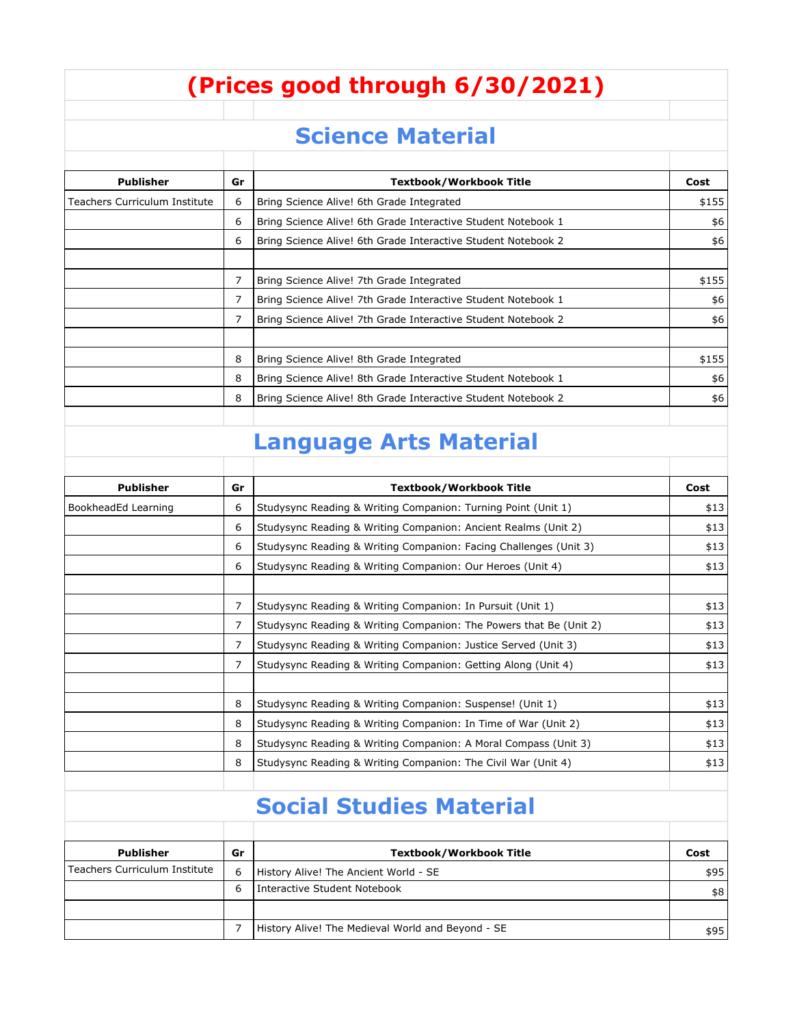## **(Prices good through 6/30/2021)**

## **Science Material**

| <b>Publisher</b>                | Gr | Textbook/Workbook Title                                       | Cost  |
|---------------------------------|----|---------------------------------------------------------------|-------|
| l Teachers Curriculum Institute | 6  | Bring Science Alive! 6th Grade Integrated                     | \$155 |
|                                 | 6  | Bring Science Alive! 6th Grade Interactive Student Notebook 1 | \$6   |
|                                 | 6  | Bring Science Alive! 6th Grade Interactive Student Notebook 2 | \$6   |
|                                 |    |                                                               |       |
|                                 | 7  | Bring Science Alive! 7th Grade Integrated                     | \$155 |
|                                 | 7  | Bring Science Alive! 7th Grade Interactive Student Notebook 1 | \$6   |
|                                 | 7  | Bring Science Alive! 7th Grade Interactive Student Notebook 2 | \$6   |
|                                 |    |                                                               |       |
|                                 | 8  | Bring Science Alive! 8th Grade Integrated                     | \$155 |
|                                 | 8  | Bring Science Alive! 8th Grade Interactive Student Notebook 1 | \$6   |
|                                 | 8  | Bring Science Alive! 8th Grade Interactive Student Notebook 2 | \$6   |
|                                 |    |                                                               |       |

## **Language Arts Material**

| <b>Publisher</b>    | Gr | <b>Textbook/Workbook Title</b>                                     | Cost |
|---------------------|----|--------------------------------------------------------------------|------|
| BookheadEd Learning | 6  | Studysync Reading & Writing Companion: Turning Point (Unit 1)      | \$13 |
|                     | 6  | Studysync Reading & Writing Companion: Ancient Realms (Unit 2)     | \$13 |
|                     | 6  | Studysync Reading & Writing Companion: Facing Challenges (Unit 3)  | \$13 |
|                     | 6  | Studysync Reading & Writing Companion: Our Heroes (Unit 4)         | \$13 |
|                     |    |                                                                    |      |
|                     | 7  | Studysync Reading & Writing Companion: In Pursuit (Unit 1)         | \$13 |
|                     | 7  | Studysync Reading & Writing Companion: The Powers that Be (Unit 2) | \$13 |
|                     | 7  | Studysync Reading & Writing Companion: Justice Served (Unit 3)     | \$13 |
|                     | 7  | Studysync Reading & Writing Companion: Getting Along (Unit 4)      | \$13 |
|                     |    |                                                                    |      |
|                     | 8  | Studysync Reading & Writing Companion: Suspense! (Unit 1)          | \$13 |
|                     | 8  | Studysync Reading & Writing Companion: In Time of War (Unit 2)     | \$13 |
|                     | 8  | Studysync Reading & Writing Companion: A Moral Compass (Unit 3)    | \$13 |
|                     | 8  | Studysync Reading & Writing Companion: The Civil War (Unit 4)      | \$13 |
|                     |    |                                                                    |      |

## **Social Studies Material**

| Publisher                     | Gr | <b>Textbook/Workbook Title</b>                    | Cost |
|-------------------------------|----|---------------------------------------------------|------|
| Teachers Curriculum Institute | 6  | History Alive! The Ancient World - SE             | \$95 |
|                               | h  | l Interactive Student Notebook                    | \$8  |
|                               |    |                                                   |      |
|                               |    | History Alive! The Medieval World and Beyond - SE | \$95 |